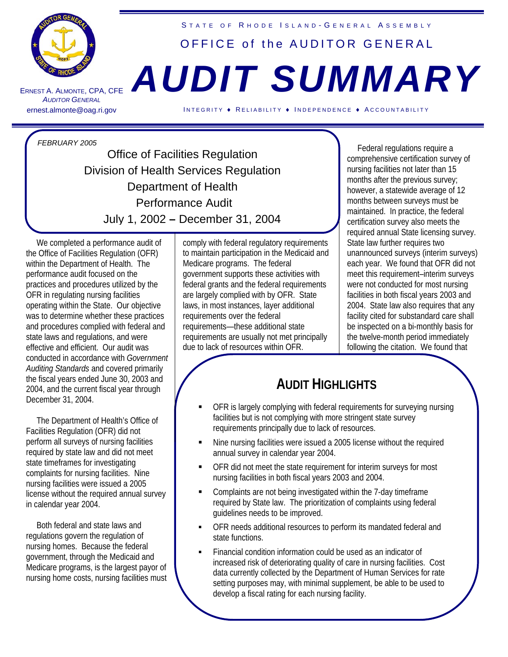

ERNEST A. A LMONTE , CPA, CFE *AUDITOR GENERAL* 

## STATE OF RHODE ISLAND-GENERAL ASSEMBLY OFFICE of the AUDITOR GENERAL

# *AUDIT SUMMARY*

ernest.almonte@oag.ri.gov INTEGRITY ♦ RELIABILITY ♦ INDEPENDENCE ♦ ACCOUNTABILITY

*FEBRUARY 2005*

Office of Facilities Regulation Division of Health Services Regulation Department of Health Performance Audit July 1, 2002 **–** December 31, 2004

 We completed a performance audit of the Office of Facilities Regulation (OFR) within the Department of Health. The performance audit focused on the practices and procedures utilized by the OFR in regulating nursing facilities operating within the State. Our objective was to determine whether these practices and procedures complied with federal and state laws and regulations, and were effective and efficient. Our audit was conducted in accordance with *Government Auditing Standards* and covered primarily the fiscal years ended June 30, 2003 and 2004, and the current fiscal year through December 31, 2004.

 The Department of Health's Office of Facilities Regulation (OFR) did not perform all surveys of nursing facilities required by state law and did not meet state timeframes for investigating complaints for nursing facilities. Nine nursing facilities were issued a 2005 license without the required annual survey in calendar year 2004.

 Both federal and state laws and regulations govern the regulation of nursing homes. Because the federal government, through the Medicaid and Medicare programs, is the largest payor of nursing home costs, nursing facilities must comply with federal regulatory requirements to maintain participation in the Medicaid and Medicare programs. The federal government supports these activities with federal grants and the federal requirements are largely complied with by OFR. State laws, in most instances, layer additional requirements over the federal requirements—these additional state requirements are usually not met principally due to lack of resources within OFR.

 Federal regulations require a comprehensive certification survey of nursing facilities not later than 15 months after the previous survey; however, a statewide average of 12 months between surveys must be maintained. In practice, the federal certification survey also meets the required annual State licensing survey. State law further requires two unannounced surveys (interim surveys) each year. We found that OFR did not meet this requirement–interim surveys were not conducted for most nursing facilities in both fiscal years 2003 and 2004. State law also requires that any facility cited for substandard care shall be inspected on a bi-monthly basis for the twelve-month period immediately following the citation. We found that

### **AUDIT HIGHLIGHTS**

- OFR is largely complying with federal requirements for surveying nursing facilities but is not complying with more stringent state survey requirements principally due to lack of resources.
- Nine nursing facilities were issued a 2005 license without the required annual survey in calendar year 2004.
- OFR did not meet the state requirement for interim surveys for most nursing facilities in both fiscal years 2003 and 2004.
- Complaints are not being investigated within the 7-day timeframe required by State law. The prioritization of complaints using federal guidelines needs to be improved.
- OFR needs additional resources to perform its mandated federal and state functions.
- Financial condition information could be used as an indicator of increased risk of deteriorating quality of care in nursing facilities. Cost data currently collected by the Department of Human Services for rate setting purposes may, with minimal supplement, be able to be used to develop a fiscal rating for each nursing facility.